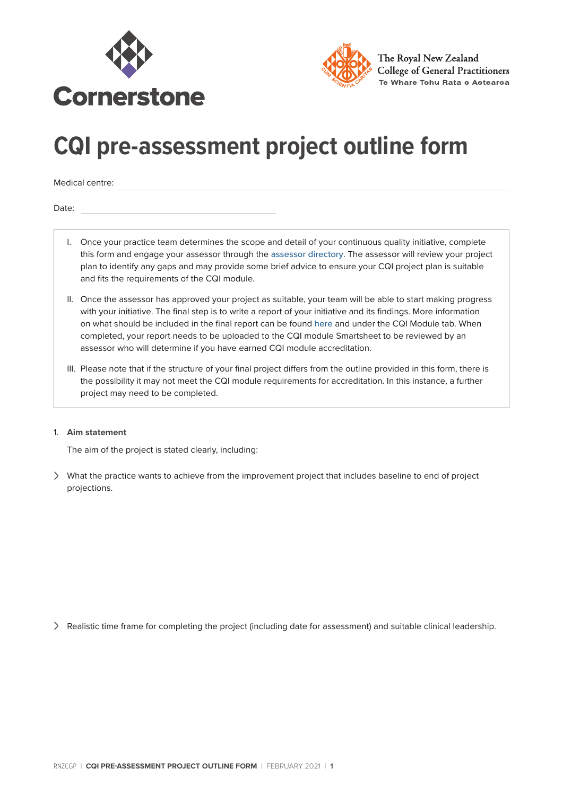



The Roval New Zealand **College of General Practitioners** Te Whare Tohu Rata o Aotearoa

## **CQI pre-assessment project outline form**

Medical centre:

Date:

- I. Once your practice team determines the scope and detail of your continuous quality initiative, complete this form and engage your assessor through the [assessor directory](https://rnzcgp.org.nz/Quality/Assessors/Assessor_directory/Quality/Assessment/Assessor_Directory.aspx?hkey=e6e560fa-50de-41c4-93e9-9753295d5b6c). The assessor will review your project plan to identify any gaps and may provide some brief advice to ensure your CQI project plan is suitable and fits the requirements of the CQI module.
- II. Once the assessor has approved your project as suitable, your team will be able to start making progress with your initiative. The final step is to write a report of your initiative and its findings. More information on what should be included in the final report can be found [here](https://rnzcgp.org.nz/Quality/Cornerstone/Quality/Cornerstone.aspx?hkey=64ed2c77-cb06-4f23-a038-d44a97d326d6) and under the CQI Module tab. When completed, your report needs to be uploaded to the CQI module Smartsheet to be reviewed by an assessor who will determine if you have earned CQI module accreditation.
- III. Please note that if the structure of your final project differs from the outline provided in this form, there is the possibility it may not meet the CQI module requirements for accreditation. In this instance, a further project may need to be completed.

## 1. **Aim statement**

The aim of the project is stated clearly, including:

<sup>&</sup>gt; What the practice wants to achieve from the improvement project that includes baseline to end of project projections.

<sup>&</sup>gt; Realistic time frame for completing the project (including date for assessment) and suitable clinical leadership.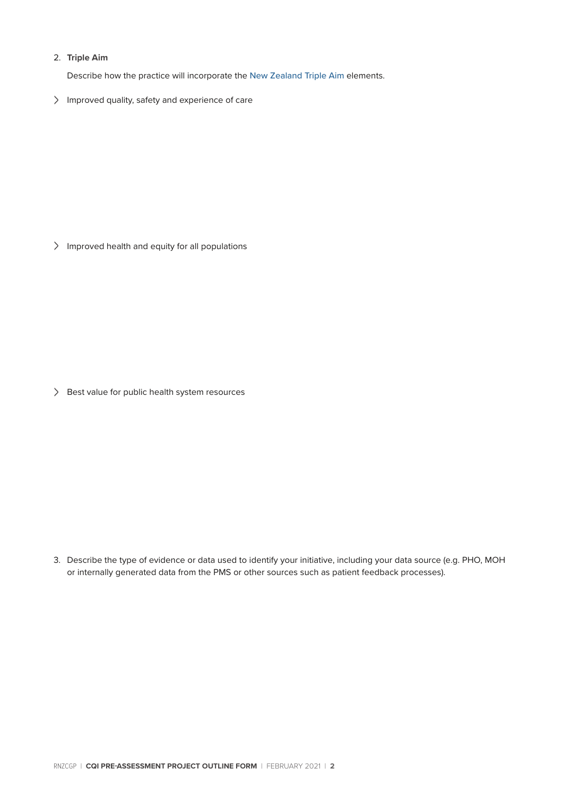## 2. **Triple Aim**

Describe how the practice will incorporate the [New Zealand Triple Aim](https://www.hqsc.govt.nz/our-programmes/building-leadership-and-capability/about-us/) elements.

> Improved quality, safety and experience of care

> Improved health and equity for all populations

> Best value for public health system resources

3. Describe the type of evidence or data used to identify your initiative, including your data source (e.g. PHO, MOH or internally generated data from the PMS or other sources such as patient feedback processes).